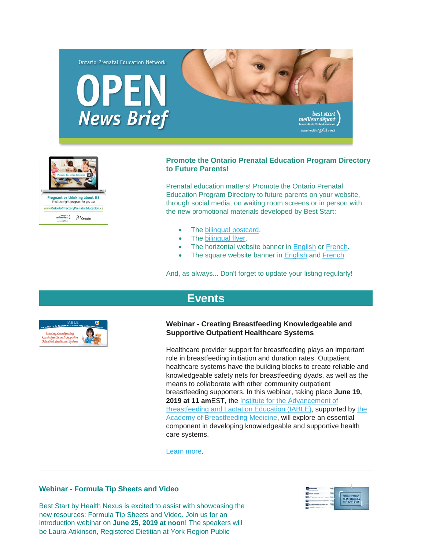



## **Promote the Ontario Prenatal Education Program Directory to Future Parents!**

Prenatal education matters! Promote the Ontario Prenatal Education Program Directory to future parents on your website, through social media, on waiting room screens or in person with the new promotional materials developed by Best Start:

- The [bilingual postcard.](https://www.beststart.org/resources/rep_health/pdf/E44-B_PrenatalEdDirectory_Postcard.pdf)
- The [bilingual flyer.](https://www.beststart.org/resources/rep_health/pdf/E45-B_prenatalEdDirectory_flyer.pdf)
- The horizontal website banner in [English](https://www.beststart.org/resources/rep_health/pdf/E46-E3.jpg) or [French.](https://www.beststart.org/resources/rep_health/pdf/E46-F3.jpg)
- The square website banner in **[English](https://www.beststart.org/resources/rep_health/pdf/E46-E2.jpg) and French**.

And, as always... Don't forget to update your listing regularly!

# **[Events](http://)**



### **Webinar - Creating Breastfeeding Knowledgeable and Supportive Outpatient Healthcare Systems**

Healthcare provider support for breastfeeding plays an important role in breastfeeding initiation and duration rates. Outpatient healthcare systems have the building blocks to create reliable and knowledgeable safety nets for breastfeeding dyads, as well as the means to collaborate with other community outpatient breastfeeding supporters. In this webinar, taking place **June 19, 2019 at 11 am**EST, the [Institute for the Advancement of](https://lacted.org/)  [Breastfeeding and Lactation Education \(IABLE\),](https://lacted.org/) supported by [the](https://www.bfmed.org/)  [Academy of Breastfeeding Medicine,](https://www.bfmed.org/) will explore an essential component in developing knowledgeable and supportive health care systems.

[Learn more.](http://url3448.lacted.org/wf/click?upn=bmPKuQwvx4hcxZOjA2RXh0DsjnmkIDk0sJAS0bz9ruV1ZgSRwgBM2FXF934l1hO6zYMNxfBnVaBEX4V5YMTsYXfqHBKZispyYHpNaYpiTC5W0w9yFWtrQnMqCYz4WkKamGgPWwP0UTi9EGDjNWWYY4bhujzq3-2Bar-2BHKHGQ9wwyJX9MtNiLZFkKdh9vXmOmdFYItSYE5mobEhYOpiHv5JtqeMRfXwdTGPJwVsVpHW0Hg-3D_2GKfudiLRpA1ODuqhsxr3UQ6phwNDtq5u2Ut1EVTExJQiv1reIa7jQ-2FhgrZrftDal0DNRSYqbM-2BxCxA6sz-2Bmn-2Fv2zRjsZRwAO59atdszgt5n5O-2B79NSdM7h4ESrsjwM9fl-2BEjk7m50q2iESUpqcio6w4ITeblbsVaMdQ1zKLJKr1TBy6MykEi-2F0fzJrqGtw5F1GTXc1gTY-2FUkLbVA9KzsP8doAr7kbdnIehUVmkASiE-3D)

### **Webinar - Formula Tip Sheets and Video**

Best Start by Health Nexus is excited to assist with showcasing the new resources: Formula Tip Sheets and Video. Join us for an introduction webinar on **June 25, 2019 at noon**! The speakers will be Laura Atikinson, Registered Dietitian at York Region Public

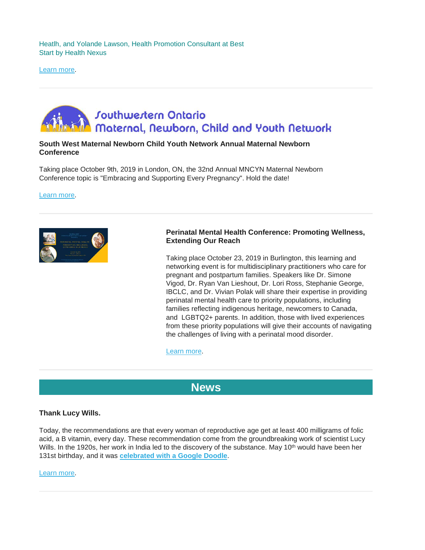Heatlh, and Yolande Lawson, Health Promotion Consultant at Best Start by Health Nexus

[Learn more.](https://attendee.gotowebinar.com/register/5138797788439753995)

# **Jouthwestern Ontario** Maternal, Newborn, Child and Youth Network

## **South West Maternal Newborn Child Youth Network Annual Maternal Newborn Conference**

Taking place October 9th, 2019 in London, ON, the 32nd Annual MNCYN Maternal Newborn Conference topic is "Embracing and Supporting Every Pregnancy". Hold the date!

[Learn more.](http://www.mncyn.ca/event/32nd-annual-perinatal-outreach-conference-hold-the-date/)



## **Perinatal Mental Health Conference: Promoting Wellness, Extending Our Reach**

Taking place October 23, 2019 in Burlington, this learning and networking event is for multidisciplinary practitioners who care for pregnant and postpartum families. Speakers like Dr. Simone Vigod, Dr. Ryan Van Lieshout, Dr. Lori Ross, Stephanie George, IBCLC, and Dr. Vivian Polak will share their expertise in providing perinatal mental health care to priority populations, including families reflecting indigenous heritage, newcomers to Canada, and LGBTQ2+ parents. In addition, those with lived experiences from these priority populations will give their accounts of navigating the challenges of living with a perinatal mood disorder.

[Learn more.](https://www.eventbrite.ca/e/perinatal-mental-health-promoting-wellness-extending-our-reach-tickets-59076721063)

# **[News](http://)**

### **Thank Lucy Wills.**

Today, the recommendations are that every woman of reproductive age get at least 400 milligrams of folic acid, a B vitamin, every day. These recommendation come from the groundbreaking work of scientist Lucy Wills. In the 1920s, her work in India led to the discovery of the substance. May 10<sup>th</sup> would have been her 131st birthday, and it was **[celebrated with a Google Doodle](https://www.google.com/doodles/lucy-wills-131st-birthday)**.

[Learn more.](https://www.vox.com/science-and-health/2019/5/10/18563248/lucy-wills-google-doodle-folic-acid-wills-factor)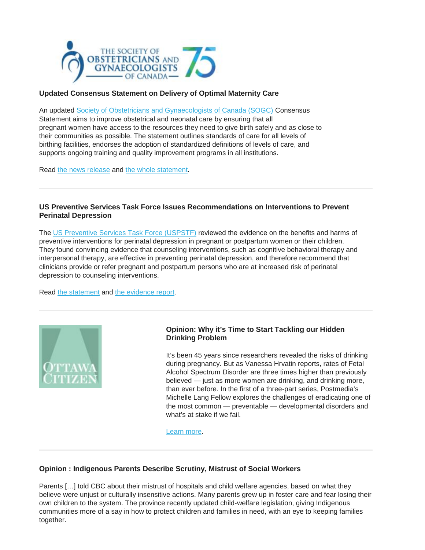

# **Updated Consensus Statement on Delivery of Optimal Maternity Care**

An updated **[Society of Obstetricians and Gynaecologists of Canada \(SOGC\)](https://www.sogc.org/)** Consensus Statement aims to improve obstetrical and neonatal care by ensuring that all pregnant women have access to the resources they need to give birth safely and as close to their communities as possible. The statement outlines standards of care for all levels of birthing facilities, endorses the adoption of standardized definitions of levels of care, and supports ongoing training and quality improvement programs in all institutions.

Read [the news release](https://www.sogc.org/en/content/media-updates/updated-consensus-statement-on-delivery-of-optimal-maternity-care.aspx) and [the whole statement.](https://www.jogc.com/article/S1701-2163(18)31022-3/abstract)

### **US Preventive Services Task Force Issues Recommendations on Interventions to Prevent Perinatal Depression**

The [US Preventive Services Task Force \(USPSTF\)](https://www.uspreventiveservicestaskforce.org/) reviewed the evidence on the benefits and harms of preventive interventions for perinatal depression in pregnant or postpartum women or their children. They found convincing evidence that counseling interventions, such as cognitive behavioral therapy and interpersonal therapy, are effective in preventing perinatal depression, and therefore recommend that clinicians provide or refer pregnant and postpartum persons who are at increased risk of perinatal depression to counseling interventions.

Read [the statement](https://jamanetwork.com/journals/jama/fullarticle/2724195) and [the evidence report.](https://jamanetwork.com/journals/jama/fullarticle/2724194)



## **Opinion: Why it's Time to Start Tackling our Hidden Drinking Problem**

It's been 45 years since researchers revealed the risks of drinking during pregnancy. But as Vanessa Hrvatin reports, rates of Fetal Alcohol Spectrum Disorder are three times higher than previously believed — just as more women are drinking, and drinking more, than ever before. In the first of a three-part series, Postmedia's Michelle Lang Fellow explores the challenges of eradicating one of the most common — preventable — developmental disorders and what's at stake if we fail.

[Learn more.](https://ottawacitizen.com/feature/prenatal-exposure-to-alcohol-affects-a-million-canadians-why-its-time-to-start-tackling-our-hidden-drinking-problem/wcm/29d461d5-0e3b-436b-84b2-4bde43ab95a2)

## **Opinion : Indigenous Parents Describe Scrutiny, Mistrust of Social Workers**

Parents […] told CBC about their mistrust of hospitals and child welfare agencies, based on what they believe were unjust or culturally insensitive actions. Many parents grew up in foster care and fear losing their own children to the system. The province recently updated child-welfare legislation, giving Indigenous communities more of a say in how to protect children and families in need, with an eye to keeping families together.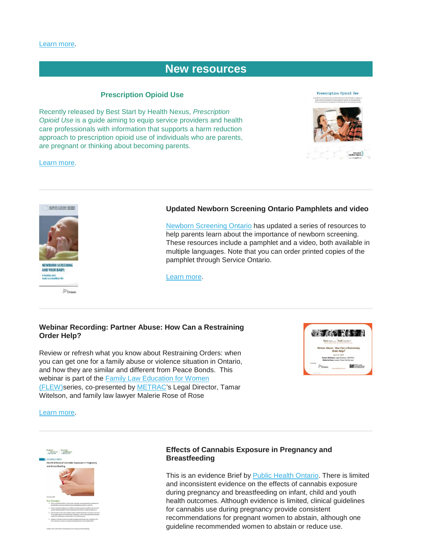# **[New resources](http://)**

### **Prescription Opioid Use**

Recently released by Best Start by Health Nexus, *Prescription Opioid Use* is a guide aiming to equip service providers and health care professionals with information that supports a harm reduction approach to prescription opioid use of individuals who are parents, are pregnant or thinking about becoming parents.

[Learn more.](https://resources.beststart.org/product/a33e-prescription-opioid-use-guide/)





 $p_{\text{down}}$ 

### **Updated Newborn Screening Ontario Pamphlets and video**

[Newborn Screening Ontario](https://www.newbornscreening.on.ca/en) has updated a series of resources to help parents learn about the importance of newborn screening. These resources include a pamphlet and a video, both available in multiple languages. Note that you can order printed copies of the pamphlet through Service Ontario.

[Learn more.](https://www.newbornscreening.on.ca/en/healthcare-provider-resources/supplies-resources)

### **Webinar Recording: Partner Abuse: How Can a Restraining Order Help?**

Review or refresh what you know about Restraining Orders: when you can get one for a family abuse or violence situation in Ontario, and how they are similar and different from Peace Bonds. This webinar is part of the [Family Law Education for Women](https://onefamilylaw.ca/)  [\(FLEW\)s](https://onefamilylaw.ca/)eries, co-presented by [METRAC's](https://www.metrac.org/) Legal Director, Tamar Witelson, and family law lawyer Malerie Rose of Rose



#### [Learn more.](https://yourlegalrights.us1.list-manage.com/track/click?u=baf0e648ac997f3cf9e7fa232&id=5eb381b3a4&e=7a9ad8e9d1)



### **Effects of Cannabis Exposure in Pregnancy and Breastfeeding**

This is an evidence Brief by [Public Health Ontario.](https://www.publichealthontario.ca/) There is limited and inconsistent evidence on the effects of cannabis exposure during pregnancy and breastfeeding on infant, child and youth health outcomes. Although evidence is limited, clinical guidelines for cannabis use during pregnancy provide consistent recommendations for pregnant women to abstain, although one guideline recommended women to abstain or reduce use.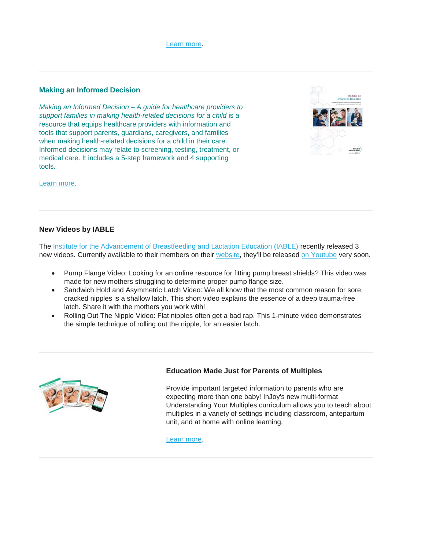

### **Making an Informed Decision**

*Making an Informed Decision – A guide for healthcare providers to support families in making health-related decisions for a child* is a resource that equips healthcare providers with information and tools that support parents, guardians, caregivers, and families when making health-related decisions for a child in their care. Informed decisions may relate to screening, testing, treatment, or medical care. It includes a 5-step framework and 4 supporting tools.



[Learn more.](https://resources.beststart.org/product/j40e-making-an-informed-decision-booklet/)

## **New Videos by IABLE**

The [Institute for the Advancement of Breastfeeding and Lactation Education \(IABLE\)](https://lacted.org/) recently released 3 new videos. Currently available to their members on their [website,](http://lacted.org/libr-iable-samples/) they'll be released [on Youtube](http://url3448.lacted.org/wf/click?upn=bmPKuQwvx4hcxZOjA2RXh0DsjnmkIDk0sJAS0bz9ruV1ZgSRwgBM2FXF934l1hO6zYMNxfBnVaBEX4V5YMTsYXfqHBKZispyYHpNaYpiTC5W0w9yFWtrQnMqCYz4WkKayqu-2F8HLmQJztpTKXENpqP5x1SPHW-2FP9RQuj5fN3gYrAA4WHXg5-2FkerPFSYSkm04w_2GKfudiLRpA1ODuqhsxr3UQ6phwNDtq5u2Ut1EVTExJQiv1reIa7jQ-2FhgrZrftDaYMR0ag67P8AhRCYu-2BdmFyrDq-2BKzAq2cIiN2dUrTWVVYbWqFgnC-2BigeIT-2Bo1zZOGbvjvRNehhZrnt5Ydc5jrbwfSuEvrVmNGAX7tzukx8iCaOx6Y6EpX5EglBrQItiOtNMe0BmDlCb-2FrbFio0ArY5SliGHEiHJHakbHyOvnxdjO7Vd-2Ft6HpMuhJy0NYpe6gVh) very soon.

- Pump Flange Video: Looking for an online resource for fitting pump breast shields? This video was made for new mothers struggling to determine proper pump flange size.
- Sandwich Hold and Asymmetric Latch Video: We all know that the most common reason for sore, cracked nipples is a shallow latch. This short video explains the essence of a deep trauma-free latch. Share it with the mothers you work with!
- Rolling Out The Nipple Video: Flat nipples often get a bad rap. This 1-minute video demonstrates the simple technique of rolling out the nipple, for an easier latch.



## **Education Made Just for Parents of Multiples**

Provide important targeted information to parents who are expecting more than one baby! InJoy's new multi-format Understanding Your Multiples curriculum allows you to teach about multiples in a variety of settings including classroom, antepartum unit, and at home with online learning.

[Learn more.](https://injoyhealtheducation.com/understanding-your-multiples)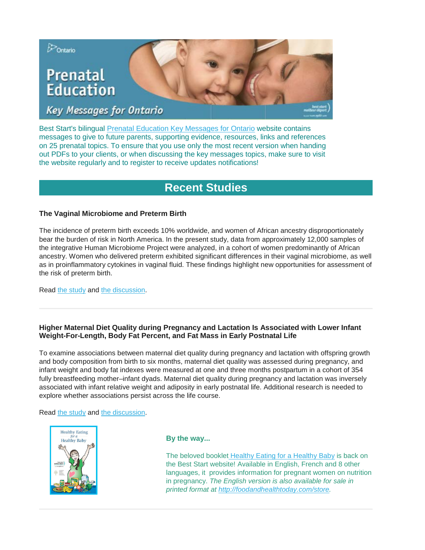

Best Start's bilingual [Prenatal Education Key Messages for Ontario](http://www.ontarioprenataleducation.ca/) website contains messages to give to future parents, supporting evidence, resources, links and references on 25 prenatal topics. To ensure that you use only the most recent version when handing out PDFs to your clients, or when discussing the key messages topics, make sure to visit the website regularly and to register to receive updates notifications!

# **[Recent Studies](http://)**

# **The Vaginal Microbiome and Preterm Birth**

The incidence of preterm birth exceeds 10% worldwide, and women of African ancestry disproportionately bear the burden of risk in North America. In the present study, data from approximately 12,000 samples of the integrative Human Microbiome Project were analyzed, in a cohort of women predominantly of African ancestry. Women who delivered preterm exhibited significant differences in their vaginal microbiome, as well as in proinflammatory cytokines in vaginal fluid. These findings highlight new opportunities for assessment of the risk of preterm birth.

Read [the study](https://www.nature.com/articles/s41591-019-0450-2) and [the discussion.](https://www.the-scientist.com/news-opinion/three-studies-track-peoples-microbiomes-through-health-and-disease-65946)

# **Higher Maternal Diet Quality during Pregnancy and Lactation Is Associated with Lower Infant Weight-For-Length, Body Fat Percent, and Fat Mass in Early Postnatal Life**

To examine associations between maternal diet quality during pregnancy and lactation with offspring growth and body composition from birth to six months, maternal diet quality was assessed during pregnancy, and infant weight and body fat indexes were measured at one and three months postpartum in a cohort of 354 fully breastfeeding mother–infant dyads. Maternal diet quality during pregnancy and lactation was inversely associated with infant relative weight and adiposity in early postnatal life. Additional research is needed to explore whether associations persist across the life course.

### Read [the study](https://www.mdpi.com/2072-6643/11/3/632) and [the discussion.](https://consumer.healthday.com/pregnancy-information-29/pregnancy-diet-news-544/nursing-moms-who-eat-right-have-slimmer-healthier-babies-746355.html)



### **By the way...**

The beloved booklet [Healthy Eating for a Healthy Baby](https://resources.beststart.org/product/d08e-healthy-eating-for-a-healthy-baby-booklet/) is back on the Best Start website! Available in English, French and 8 other languages, it provides information for pregnant women on nutrition in pregnancy. *The English version is also available for sale in printed format at [http://foodandhealthtoday.com/store.](http://foodandhealthtoday.com/store)*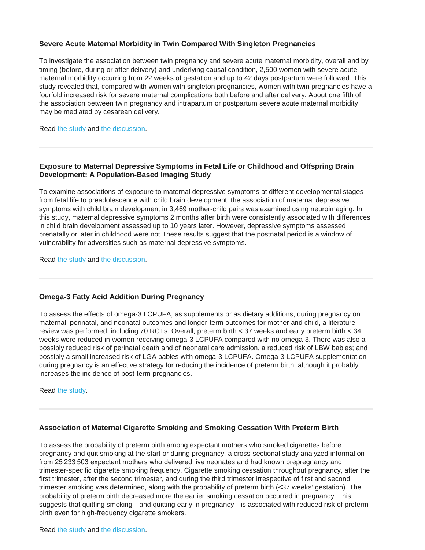## **Severe Acute Maternal Morbidity in Twin Compared With Singleton Pregnancies**

To investigate the association between twin pregnancy and severe acute maternal morbidity, overall and by timing (before, during or after delivery) and underlying causal condition, 2,500 women with severe acute maternal morbidity occurring from 22 weeks of gestation and up to 42 days postpartum were followed. This study revealed that, compared with women with singleton pregnancies, women with twin pregnancies have a fourfold increased risk for severe maternal complications both before and after delivery. About one fifth of the association between twin pregnancy and intrapartum or postpartum severe acute maternal morbidity may be mediated by cesarean delivery.

Read [the study](https://journals.lww.com/greenjournal/Fulltext/2019/06000/Severe_Acute_Maternal_Morbidity_in_Twin_Compared.10.aspx) and [the discussion.](https://www.physiciansbriefing.com/obgyn-women-s-health-11/pregnancy-news-543/severe-maternal-complication-risk-four-times-higher-with-twins-746166.html)

## **Exposure to Maternal Depressive Symptoms in Fetal Life or Childhood and Offspring Brain Development: A Population-Based Imaging Study**

To examine associations of exposure to maternal depressive symptoms at different developmental stages from fetal life to preadolescence with child brain development, the association of maternal depressive symptoms with child brain development in 3,469 mother-child pairs was examined using neuroimaging. In this study, maternal depressive symptoms 2 months after birth were consistently associated with differences in child brain development assessed up to 10 years later. However, depressive symptoms assessed prenatally or later in childhood were not These results suggest that the postnatal period is a window of vulnerability for adversities such as maternal depressive symptoms.

Read [the study](https://ajp.psychiatryonline.org/doi/10.1176/appi.ajp.2019.18080970) and [the discussion.](https://www.healio.com/psychiatry/depression/news/online/%7B88cb4419-c4b1-4db8-bf36-dd432add260b%7D/maternal-depressive-symptoms-affect-child-brain-development-10-years-later)

### **Omega-3 Fatty Acid Addition During Pregnancy**

To assess the effects of omega-3 LCPUFA, as supplements or as dietary additions, during pregnancy on maternal, perinatal, and neonatal outcomes and longer-term outcomes for mother and child, a literature review was performed, including 70 RCTs. Overall, preterm birth < 37 weeks and early preterm birth < 34 weeks were reduced in women receiving omega-3 LCPUFA compared with no omega-3. There was also a possibly reduced risk of perinatal death and of neonatal care admission, a reduced risk of LBW babies; and possibly a small increased risk of LGA babies with omega-3 LCPUFA. Omega-3 LCPUFA supplementation during pregnancy is an effective strategy for reducing the incidence of preterm birth, although it probably increases the incidence of post-term pregnancies.

Read [the study.](https://www.healthevidence.org/view-article.aspx?a=omega-3-fatty-acid-addition-pregnancy-35044)

## **Association of Maternal Cigarette Smoking and Smoking Cessation With Preterm Birth**

To assess the probability of preterm birth among expectant mothers who smoked cigarettes before pregnancy and quit smoking at the start or during pregnancy, a cross-sectional study analyzed information from 25 233 503 expectant mothers who delivered live neonates and had known prepregnancy and trimester-specific cigarette smoking frequency. Cigarette smoking cessation throughout pregnancy, after the first trimester, after the second trimester, and during the third trimester irrespective of first and second trimester smoking was determined, along with the probability of preterm birth (<37 weeks' gestation). The probability of preterm birth decreased more the earlier smoking cessation occurred in pregnancy. This suggests that quitting smoking—and quitting early in pregnancy—is associated with reduced risk of preterm birth even for high-frequency cigarette smokers.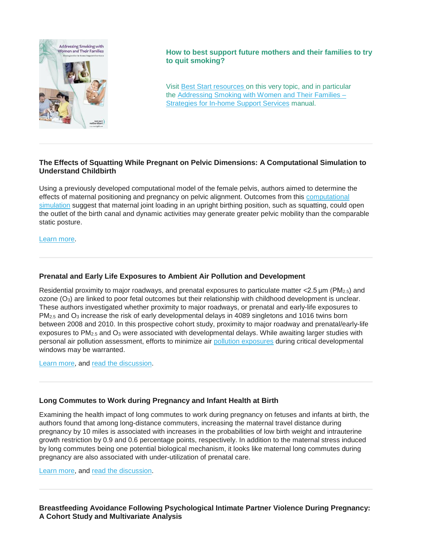

**How to best support future mothers and their families to try to quit smoking?**

Visit [Best Start resources](https://resources.beststart.org/product-category/resources/tobacco-misuse/) on this very topic, and in particular the [Addressing Smoking with Women and Their Families –](https://resources.beststart.org/product/n12e-addressing-smoking-with-women-and-their-families-manual/) [Strategies for In-home Support Services](https://resources.beststart.org/product/n12e-addressing-smoking-with-women-and-their-families-manual/) manual.

# **The Effects of Squatting While Pregnant on Pelvic Dimensions: A Computational Simulation to Understand Childbirth**

Using a previously developed computational model of the female pelvis, authors aimed to determine the effects of maternal positioning and pregnancy on pelvic alignment. Outcomes from this **computational** [simulation](https://www.sciencedirect.com/topics/engineering/computational-simulation) suggest that maternal joint loading in an upright birthing position, such as squatting, could open the outlet of the birth canal and dynamic activities may generate greater pelvic mobility than the comparable static posture.

[Learn more.](https://www.sciencedirect.com/science/article/pii/S0021929019301472?utm_campaign=STMJ_75273_AUTH_SERV_PPUB&utm_medium=email&utm_dgroup=Email1Publishing&utm_acid=-2070725213&SIS_ID=-1&dgcid=STMJ_75273_AUTH_SERV_PPUB&CMX_ID&utm_in=DM497001&utm_source=AC_30&fbclid=IwAR0sItcK8_4UGTTQ8lC_WPJUf9-1jw9XPzibovx58DKZyBzKhikH97z6ZqU)

# **Prenatal and Early Life Exposures to Ambient Air Pollution and Development**

Residential proximity to major roadways, and prenatal exposures to particulate matter  $\lt 2.5\,\mu\text{m}$  (PM<sub>2.5</sub>) and ozone (O3) are linked to poor fetal outcomes but their relationship with childhood development is unclear. These authors investigated whether proximity to major roadways, or prenatal and early-life exposures to PM<sub>2.5</sub> and O<sub>3</sub> increase the risk of early developmental delays in 4089 singletons and 1016 twins born between 2008 and 2010. In this prospective cohort study, proximity to major roadway and prenatal/early-life exposures to PM2.5 and O3 were associated with developmental delays. While awaiting larger studies with personal air pollution assessment, efforts to minimize air [pollution exposures](https://www.sciencedirect.com/topics/earth-and-planetary-sciences/pollution-exposure) during critical developmental windows may be warranted.

[Learn more,](https://www.sciencedirect.com/science/article/pii/S0013935119301987) and [read the discussion.](https://www.sciencedaily.com/releases/2019/04/190409164002.htm)

# **Long Commutes to Work during Pregnancy and Infant Health at Birth**

Examining the health impact of long commutes to work during pregnancy on fetuses and infants at birth, the authors found that among long-distance commuters, increasing the maternal travel distance during pregnancy by 10 miles is associated with increases in the probabilities of low birth weight and intrauterine growth restriction by 0.9 and 0.6 percentage points, respectively. In addition to the maternal stress induced by long commutes being one potential biological mechanism, it looks like maternal long commutes during pregnancy are also associated with under-utilization of prenatal care.

[Learn more,](https://www.sciencedirect.com/science/article/pii/S1570677X17303131) and [read the discussion.](https://www.minnpost.com/second-opinion/2019/04/long-work-commutes-of-pregnant-women-linked-to-low-birth-weights/)

**Breastfeeding Avoidance Following Psychological Intimate Partner Violence During Pregnancy: A Cohort Study and Multivariate Analysis**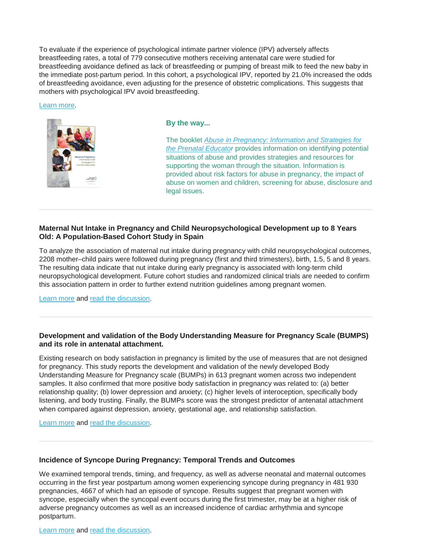To evaluate if the experience of psychological intimate partner violence (IPV) adversely affects breastfeeding rates, a total of 779 consecutive mothers receiving antenatal care were studied for breastfeeding avoidance defined as lack of breastfeeding or pumping of breast milk to feed the new baby in the immediate post‐partum period. In this cohort, a psychological IPV, reported by 21.0% increased the odds of breastfeeding avoidance, even adjusting for the presence of obstetric complications. This suggests that mothers with psychological IPV avoid breastfeeding.

#### [Learn more.](https://obgyn.onlinelibrary.wiley.com/doi/abs/10.1111/1471-0528.15592)



# **By the way...**

The booklet *[Abuse in Pregnancy: Information and Strategies for](https://resources.beststart.org/product/h04e-abuse-in-pregnancy-prenatal-educator-booklet/)  [the Prenatal Educator](https://resources.beststart.org/product/h04e-abuse-in-pregnancy-prenatal-educator-booklet/)* provides information on identifying potential situations of abuse and provides strategies and resources for supporting the woman through the situation. Information is provided about risk factors for abuse in pregnancy, the impact of abuse on women and children, screening for abuse, disclosure and legal issues.

## **Maternal Nut Intake in Pregnancy and Child Neuropsychological Development up to 8 Years Old: A Population-Based Cohort Study in Spain**

To analyze the association of maternal nut intake during pregnancy with child neuropsychological outcomes, 2208 mother–child pairs were followed during pregnancy (first and third trimesters), birth, 1.5, 5 and 8 years. The resulting data indicate that nut intake during early pregnancy is associated with long-term child neuropsychological development. Future cohort studies and randomized clinical trials are needed to confirm this association pattern in order to further extend nutrition guidelines among pregnant women.

[Learn more](https://link.springer.com/article/10.1007/s10654-019-00521-6) and [read the discussion.](https://www.sciencedaily.com/releases/2019/05/190507080134.htm)

## **Development and validation of the Body Understanding Measure for Pregnancy Scale (BUMPS) and its role in antenatal attachment.**

Existing research on body satisfaction in pregnancy is limited by the use of measures that are not designed for pregnancy. This study reports the development and validation of the newly developed Body Understanding Measure for Pregnancy scale (BUMPs) in 613 pregnant women across two independent samples. It also confirmed that more positive body satisfaction in pregnancy was related to: (a) better relationship quality; (b) lower depression and anxiety; (c) higher levels of interoception, specifically body listening, and body trusting. Finally, the BUMPs score was the strongest predictor of antenatal attachment when compared against depression, anxiety, gestational age, and relationship satisfaction.

[Learn more](https://psycnet.apa.org/record/2019-28217-001) and [read the discussion.](https://www.deccanherald.com/science-and-environment/new-method-may-help-predict-depression-in-new-mothers-736247.html)

## **Incidence of Syncope During Pregnancy: Temporal Trends and Outcomes**

We examined temporal trends, timing, and frequency, as well as adverse neonatal and maternal outcomes occurring in the first year postpartum among women experiencing syncope during pregnancy in 481 930 pregnancies, 4667 of which had an episode of syncope. Results suggest that pregnant women with syncope, especially when the syncopal event occurs during the first trimester, may be at a higher risk of adverse pregnancy outcomes as well as an increased incidence of cardiac arrhythmia and syncope postpartum.

[Learn more](https://www.ahajournals.org/doi/10.1161/JAHA.118.011608) and [read the discussion.](https://www.physiciansbriefing.com/obgyn-women-s-health-11/pregnancy-news-543/syncope-in-pregnancy-may-up-risk-for-adverse-outcomes-746657.html)